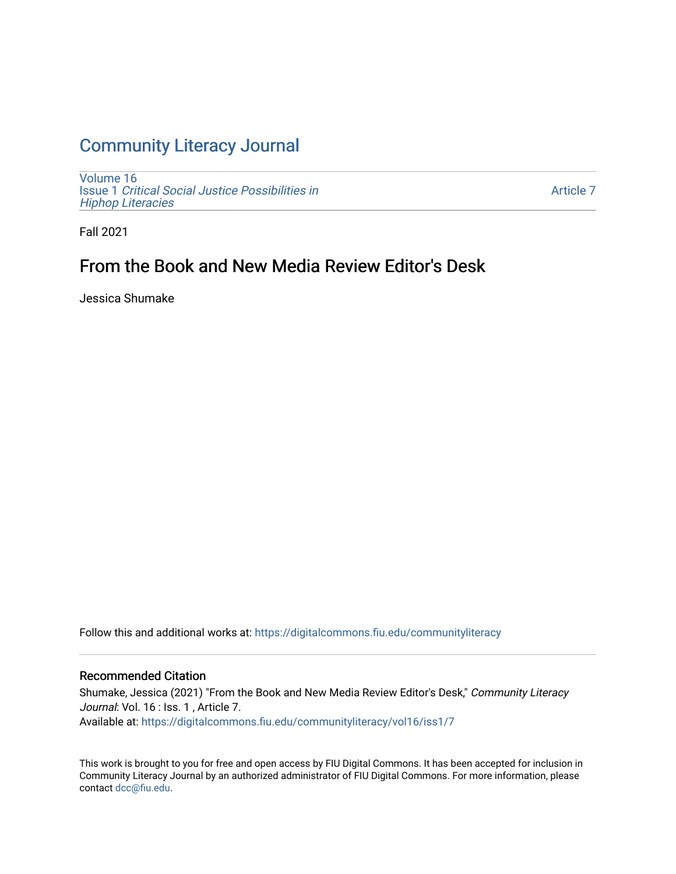## [Community Literacy Journal](https://digitalcommons.fiu.edu/communityliteracy)

[Volume 16](https://digitalcommons.fiu.edu/communityliteracy/vol16) Issue 1 [Critical Social Justice Possibilities in](https://digitalcommons.fiu.edu/communityliteracy/vol16/iss1) [Hiphop Literacies](https://digitalcommons.fiu.edu/communityliteracy/vol16/iss1)

[Article 7](https://digitalcommons.fiu.edu/communityliteracy/vol16/iss1/7) 

Fall 2021

## From the Book and New Media Review Editor's Desk

Jessica Shumake

Follow this and additional works at: [https://digitalcommons.fiu.edu/communityliteracy](https://digitalcommons.fiu.edu/communityliteracy?utm_source=digitalcommons.fiu.edu%2Fcommunityliteracy%2Fvol16%2Fiss1%2F7&utm_medium=PDF&utm_campaign=PDFCoverPages)

#### Recommended Citation

Shumake, Jessica (2021) "From the Book and New Media Review Editor's Desk," Community Literacy Journal: Vol. 16 : Iss. 1, Article 7. Available at: [https://digitalcommons.fiu.edu/communityliteracy/vol16/iss1/7](https://digitalcommons.fiu.edu/communityliteracy/vol16/iss1/7?utm_source=digitalcommons.fiu.edu%2Fcommunityliteracy%2Fvol16%2Fiss1%2F7&utm_medium=PDF&utm_campaign=PDFCoverPages) 

This work is brought to you for free and open access by FIU Digital Commons. It has been accepted for inclusion in Community Literacy Journal by an authorized administrator of FIU Digital Commons. For more information, please contact [dcc@fiu.edu](mailto:dcc@fiu.edu).